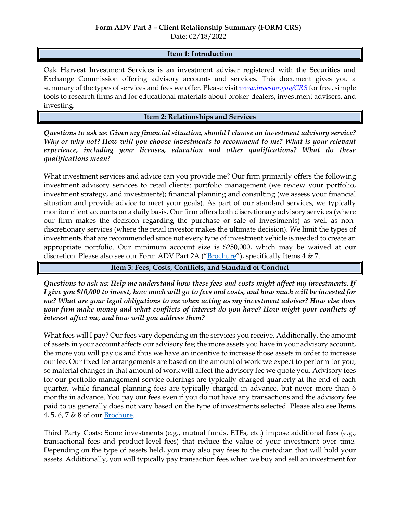Date: 02/18/2022

## **Item 1: Introduction**

Oak Harvest Investment Services is an investment adviser registered with the Securities and Exchange Commission offering advisory accounts and services. This document gives you a summary of the types of services and fees we offer. Please visit *[www.investor.gov/CRS](http://www.investor.gov/CRS)* for free, simple tools to research firms and for educational materials about broker-dealers, investment advisers, and investing.

## **Item 2: Relationships and Services**

*Questions to ask us: Given my financial situation, should I choose an investment advisory service? Why or why not? How will you choose investments to recommend to me? What is your relevant*  experience, including your licenses, education and other qualifications? What do these *qualifications mean?*

What investment services and advice can you provide me? Our firm primarily offers the following investment advisory services to retail clients: portfolio management (we review your portfolio, investment strategy, and investments); financial planning and consulting (we assess your financial situation and provide advice to meet your goals). As part of our standard services, we typically monitor client accounts on a daily basis. Our firm offers both discretionary advisory services (where our firm makes the decision regarding the purchase or sale of investments) as well as nondiscretionary services (where the retail investor makes the ultimate decision). We limit the types of investments that are recommended since not every type of investment vehicle is needed to create an appropriate portfolio. Our minimum account size is \$250,000, which may be waived at our discretion. Please also see our Form ADV Part 2A ("[Brochure](https://adviserinfo.sec.gov/firm/summary/173293)"), specifically Items 4 & 7.

**Item 3: Fees, Costs, Conflicts, and Standard of Conduct** 

*Questions to ask us: Help me understand how these fees and costs might affect my investments. If I give you \$10,000 to invest, how much will go to fees and costs, and how much will be invested for me? What are your legal obligations to me when acting as my investment adviser? How else does your firm make money and what conflicts of interest do you have? How might your conflicts of interest affect me, and how will you address them?* 

What fees will I pay? Our fees vary depending on the services you receive. Additionally, the amount of assets in your account affects our advisory fee; the more assets you have in your advisory account, the more you will pay us and thus we have an incentive to increase those assets in order to increase our fee. Our fixed fee arrangements are based on the amount of work we expect to perform for you, so material changes in that amount of work will affect the advisory fee we quote you. Advisory fees for our portfolio management service offerings are typically charged quarterly at the end of each quarter, while financial planning fees are typically charged in advance, but never more than 6 months in advance. You pay our fees even if you do not have any transactions and the advisory fee paid to us generally does not vary based on the type of investments selected. Please also see Items 4, 5, 6, 7 & 8 of our [Brochure.](https://adviserinfo.sec.gov/firm/summary/173293)

Third Party Costs: Some investments (e.g., mutual funds, ETFs, etc.) impose additional fees (e.g., transactional fees and product-level fees) that reduce the value of your investment over time. Depending on the type of assets held, you may also pay fees to the custodian that will hold your assets. Additionally, you will typically pay transaction fees when we buy and sell an investment for